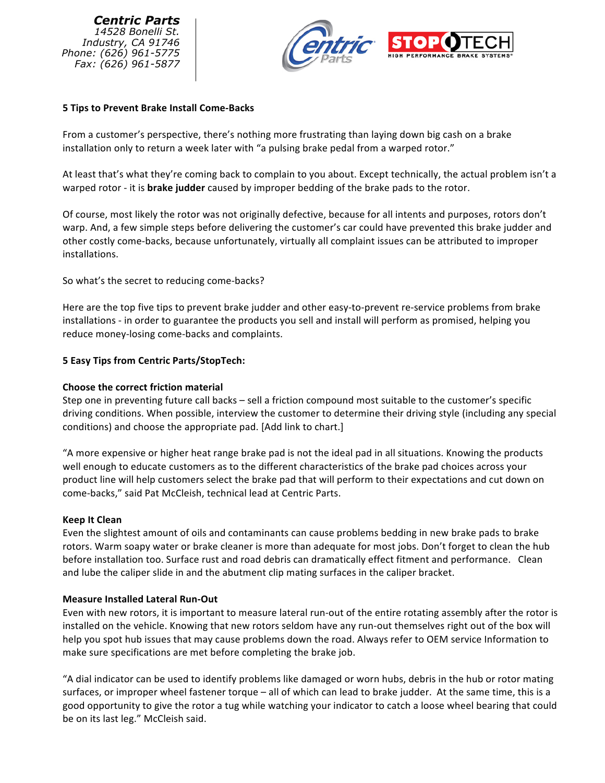*Centric Parts 14528 Bonelli St. Industry, CA 91746 Phone: (626) 961-5775 Fax: (626) 961-5877*



# **5 Tips to Prevent Brake Install Come-Backs**

From a customer's perspective, there's nothing more frustrating than laying down big cash on a brake installation only to return a week later with "a pulsing brake pedal from a warped rotor."

At least that's what they're coming back to complain to you about. Except technically, the actual problem isn't a warped rotor - it is **brake judder** caused by improper bedding of the brake pads to the rotor.

Of course, most likely the rotor was not originally defective, because for all intents and purposes, rotors don't warp. And, a few simple steps before delivering the customer's car could have prevented this brake judder and other costly come-backs, because unfortunately, virtually all complaint issues can be attributed to improper installations.

So what's the secret to reducing come-backs?

Here are the top five tips to prevent brake judder and other easy-to-prevent re-service problems from brake installations - in order to guarantee the products you sell and install will perform as promised, helping you reduce money-losing come-backs and complaints.

## **5 Easy Tips from Centric Parts/StopTech:**

### **Choose the correct friction material**

Step one in preventing future call backs – sell a friction compound most suitable to the customer's specific driving conditions. When possible, interview the customer to determine their driving style (including any special conditions) and choose the appropriate pad. [Add link to chart.]

"A more expensive or higher heat range brake pad is not the ideal pad in all situations. Knowing the products well enough to educate customers as to the different characteristics of the brake pad choices across your product line will help customers select the brake pad that will perform to their expectations and cut down on come-backs," said Pat McCleish, technical lead at Centric Parts.

#### **Keep It Clean**

Even the slightest amount of oils and contaminants can cause problems bedding in new brake pads to brake rotors. Warm soapy water or brake cleaner is more than adequate for most jobs. Don't forget to clean the hub before installation too. Surface rust and road debris can dramatically effect fitment and performance. Clean and lube the caliper slide in and the abutment clip mating surfaces in the caliper bracket.

#### **Measure Installed Lateral Run-Out**

Even with new rotors, it is important to measure lateral run-out of the entire rotating assembly after the rotor is installed on the vehicle. Knowing that new rotors seldom have any run-out themselves right out of the box will help you spot hub issues that may cause problems down the road. Always refer to OEM service Information to make sure specifications are met before completing the brake job.

"A dial indicator can be used to identify problems like damaged or worn hubs, debris in the hub or rotor mating surfaces, or improper wheel fastener torque – all of which can lead to brake judder. At the same time, this is a good opportunity to give the rotor a tug while watching your indicator to catch a loose wheel bearing that could be on its last leg." McCleish said.